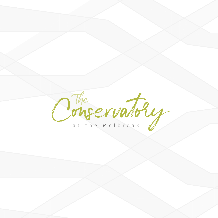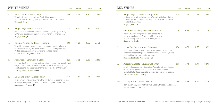Rich, but an easy drinking fruity red. Good with roast Maule Valley, Chile (C)

|    | <b>WHITE WINES</b>                                                                                                                                                                                                                                                             | 125ml | <b>175ml</b> | <b>250ml</b> | 75cl  |                                                                                                                                                                                                                                                                                 | <b>RED WINES</b>                                                                                                                                                                                                       | <b>125ml</b> | <b>175ml</b> | <b>250ml</b> | <b>75cl</b> |
|----|--------------------------------------------------------------------------------------------------------------------------------------------------------------------------------------------------------------------------------------------------------------------------------|-------|--------------|--------------|-------|---------------------------------------------------------------------------------------------------------------------------------------------------------------------------------------------------------------------------------------------------------------------------------|------------------------------------------------------------------------------------------------------------------------------------------------------------------------------------------------------------------------|--------------|--------------|--------------|-------------|
| 1. | Villa Trendi - Pinot Grigio<br>This wine is made entirely from Pinot Grigio grapes.<br>Dry, crisp and refreshing, with good depth and concentration.<br>Venezzi, Italy (1)                                                                                                     | 3.50  | 4.75         | 6.50         | 18.95 | 6.                                                                                                                                                                                                                                                                              | Rioja Vega Crianza - Tempranillo<br>Soft and fruity with delicious cherry/berry fruit balanced with<br>a hint of spice and a long finish, as you would expect from this<br>excellent classic wine.<br>Rioja, Spain (C) | 4.25         | 5.75         | 7.25         | 22.95       |
| 2. | Rioja Vega Blanco - Viura<br>Not quite as well known as its red counterpart, this dry but fruity<br>white wine is great with light meals, vegetarian and fish dishes.<br>Rioja, Spain (2)                                                                                      | 3.50  | 4.75         | 6.50         | 18.95 | 7.                                                                                                                                                                                                                                                                              | Gran Rosso - Negroamaro Primitivo<br>Intense, full and complex with dark chocolate and<br>blackcherry character. A wonderful food wine with<br>plenty of body and structure for hearty dishes.<br>Salento, Italy (D)   | 4.25         | 5.75         | 7.75         | 22.95       |
| 3. | Racine Picpoul de Pinet - Picpoul<br>This old-fashioned Languedoc grape produces wonderfully crisp,<br>citrussy wines with great minerality and a taut, underlying acidity.<br>Perfect accompaniment to all fish and seafood dishes.<br>Coteaux de Languedoc, France (1)       | 4.50  | 6.50         | 8.50         | 23.95 | 8.                                                                                                                                                                                                                                                                              | Uvas Del Sol - Malbec Reserva<br>This classic Malbec is dark violet with blue hues. On the nose<br>it has reminiscent of ripe red and black fruits as cherries, plums<br>and blackberries. Fruity and spicy finish.    | 4.50         | 6.50         | 8.50         | 23.95       |
| 4. | Paparuda - Sauvignon Blanc<br>Racy passion fruit, tangerine and gooseberry flavours are graceful and<br>elegant, with a lovely, alive mouth feel and a medium body. A zingy<br>acidity adds to the elegance, and the flavours echo on the finish.<br>Transylvania, Romania (2) | 3.75  | 5.50         | 7.25         | 20.95 | Andean foothills, Argentina (D)<br>9.<br>Aldridge Estate - Shiraz Cabernet<br>A rich and spicy red from South East Australia with good depth<br>of colour and generous fruit character. A versatile wine;<br>remarkable for its compatibility with a wide diversity of cuisine. |                                                                                                                                                                                                                        | 3.75         | 5.50         | 7.25         | 20.95       |
| 5. | Le Grand Noir - Chardonnay<br>This is a fresh pine appley wine with a subtle hint of oak and a touch<br>of mango and ginger. Super food friendly but great by itself too<br>Languedoc, France (3)                                                                              | 3.75  | 5.50         | 7.25         | 20.95 | 10.                                                                                                                                                                                                                                                                             | South East Australia (C)<br>La Lejania Reserve - Merlot<br>Rich, but an easy drinking fruity red. Good with roasts and steaks.<br>Maule Valley Chile (C)                                                               | 3.50         | 4.75         | 6.50         | 18.95       |

## 7. Gran Rosso - Negroamaro Primitivo

## 8. Uvas Del Sol - Malbec Reserva

## 9. Aldridge Estate **-** Shiraz Cabernet

## 10. La Lejania Reserve - Merlot

|                                   | 125ml | <b>175ml</b> | <b>250ml</b> | 75cl  |
|-----------------------------------|-------|--------------|--------------|-------|
| nced with<br>t from this          | 4.25  | 5.75         | 7.25         | 22.95 |
|                                   | 4.25  | 5.75         | 7.75         | 22.95 |
| the nose<br>rries, plums          | 4.50  | 6.50         | 8.50         | 23.95 |
| good depth<br>ine;<br>of cuisine. | 3.75  | 5.50         | 7.25         | 20.95 |
| ts and steaks.                    | 3.50  | 4.75         | 6.50         | 18.95 |

TASTING CODE Dry  $1 \leftarrow \rightarrow 5$  Off-Dry Please ask at the bar for ABV's Light Body  $A \rightarrow E$  Full Body  $\rightarrow$  Products and prices correct at time of printing but may be subject to change.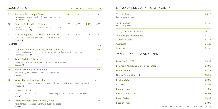| Estrella Dam<br>Premium Spanish lager   | £5.25 |
|-----------------------------------------|-------|
| Kirin Ichiban<br>Premium Japanese Lager | £4.50 |
| Shipyard - India Pale Ale               | £4.25 |
| Wainwright - Golden Ale                 | £4.50 |
| <b>Kingston Press</b>                   | £3.75 |
| <b>Guinness</b>                         | £4.25 |
| <b>Guest Ale</b>                        | £4.50 |

| £3.95 |
|-------|
| £3.95 |
| £3.25 |
| £3.95 |
| £3.95 |
| £3.95 |
| £4.95 |
| £4.95 |
| £3.95 |
| £3.95 |

|     | <b>ROSE WINES</b>                                                                                                                                              | 125ml | 175ml | <b>250ml</b> | 75cl  |
|-----|----------------------------------------------------------------------------------------------------------------------------------------------------------------|-------|-------|--------------|-------|
| 11. | Amanti - Pinot Grigio Rose<br>A crisp rose wine reminiscent of strawberry fruit flavours.<br>Lombardy, Italy (2)                                               | 3.95  | 5.75  | 7.50         | 21.95 |
| 12. | Tracker Jack - White Zinfandel<br>Juicy yet elegant, soft and creamy, medium-bodied in style.<br>California, USA (5)                                           | 3.50  | 4.75  | 7.50         | 18.95 |
| 17. | Whispering Angel Cote de Provence Rose<br>Delicate with notes of grapefruit redcurrant and peach.<br>France (2)                                                | 5.75  | 8.75  | 11.50        | 32.95 |
|     | <b>BUBBLES</b>                                                                                                                                                 |       |       |              | 75cl  |
| 13. | Jean Pierre Marniquet Carte D'or Champagne<br>Classic, elegant champagne. Delicate and dry with a crisp flavour and fresh lemony aroma.<br>Epernay, France (1) |       |       |              | 45.00 |
| 14. | <b>Exton Park Brut Reserve</b><br>Savoury notes of brioche & baked apple, with a mineral freshness.<br>England (2)                                             |       |       |              | 59.00 |
| 15. | <b>Exton Park Brut Reserve Rose</b><br>Delicate & dry. White peach, red berries & a floral finish.<br>England (2)                                              |       |       |              | 59.00 |
| 16. | Veuve Clicquot Yellow Label<br>White fruits followed by toasted brioche and vanilla, with a streak of minerality and racy acidity.<br>France (1)               |       |       | 65.00        |       |
| 17. | <b>Prosecco Botter</b><br>An attractive biscuity nose, leading onto a bright fruity palate with hints of pears and melon.<br>Italy $(2)$                       |       |       |              | 25.00 |
| 18. | Tiamo Prosecco Single Serve (200ml)<br>Well balanced, light bodied and harmonious on the palate.<br>Italy $(2)$                                                |       |       |              | 6.25  |

# DRAUGHT BEERS, ALES AND CIDER

**Contract** 

| Estrella Dam<br>Premium Spanish lager           | £5.25          |
|-------------------------------------------------|----------------|
| Kirin Ichiban<br>Premium Japanese Lager         | £4.50          |
| Shipyard - India Pale Ale                       | £4.25          |
| Wainwright - Golden Ale                         | £4.50          |
| <b>Kingston Press</b>                           | £3.75          |
| <b>Guinness</b>                                 | £4.25          |
| <b>Guest Ale</b>                                | £4.50          |
| <b>Brewdog Punk IPA</b>                         | £3.95          |
| Brewdog Vagabond Gluten Free Beer<br>Damm Lemon | £3.95<br>£3.25 |
| Daura Damm Gluten Free                          | £3.95          |
| <b>Free Damm</b>                                | £3.95          |
| Corona                                          |                |
|                                                 | £3.95          |
| <b>Bluebird Bitter</b>                          | £4.95          |
|                                                 | £4.95          |
| <b>Loweswater Gold</b><br>Rekorderlig           | £3.95          |

Products and prices correct at time of printing but may be subject to change.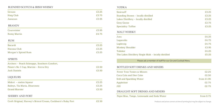# BLENDED SCOTCH & IRISH WHISKY

| Grouse                                      | £3.25 |
|---------------------------------------------|-------|
| <b>Haig Club</b>                            | £3.75 |
| Jameson                                     | £3.95 |
| <b>BRANDY</b>                               |       |
| Courvoisier                                 | £3.95 |
| <b>Remy Martin</b>                          | £4.75 |
| <b>RUM</b>                                  |       |
| <b>Bacardi</b>                              | £3.25 |
| Havana Club                                 | £3.25 |
| <b>Morgan's Spiced Rum</b>                  | £3.25 |
| <b>SPIRITS</b>                              |       |
| Archers - Peach Schnapps, Southern Comfort, |       |
| Pimm's No 1 Cup, Martini - Extra Dry        | £3.50 |
| <b>Jack Daniels</b>                         | £3.50 |
| <b>LIQUEURS</b>                             |       |
| Midori - melon liqueur                      | £3.25 |
| Baileys, Tia Maria, Disaronno               | £3.25 |
| <b>Grand Marnier</b>                        | £3.50 |
| <b>SHERRY AND PORT</b>                      |       |
|                                             |       |

## DRAUGHT SOFT DRINKS AND MIXERS

Pepsi Max, Tango, Lemonade and Soda Water from 0.75

# VODKA

| $\sqrt{U}$                                                 |            |
|------------------------------------------------------------|------------|
| Smirnoff                                                   | £3.25      |
| <b>Standing Stones - locally distilled</b>                 | £3.25      |
| Lakes Distillery – locally distilled                       | £3.25      |
| <b>Grey Goose</b>                                          | £3.75      |
| <b>Speciality: Toffee</b>                                  | £3.25      |
| <b>MALT WHISKY</b>                                         |            |
| Jura                                                       | £4.25      |
| Lagavulin                                                  | £4.75      |
| Laphroig                                                   | £4.75      |
| <b>Monkey Shoulder</b>                                     | £3.95      |
| <b>Talisker</b>                                            | £4.25      |
| The Lakes Distillery Single Malt - locally distilled       | £5.25      |
| Please ask a member of staff for our Gin and Cocktail Menu |            |
| BOTTLED SOFT DRINKS AND MIXERS                             |            |
| <b>Fever Tree Tonics &amp; Mixers</b>                      | £2.25      |
| <b>Coca Cola and Diet Coke</b>                             | £2.50      |
| <b>Still and Sparkling Water</b>                           | from £1.95 |
| Appletiser                                                 | £2.75      |
|                                                            |            |

| <b>J20</b> | £2.75 |
|------------|-------|

Products and prices correct at time of printing but may be subject to change.